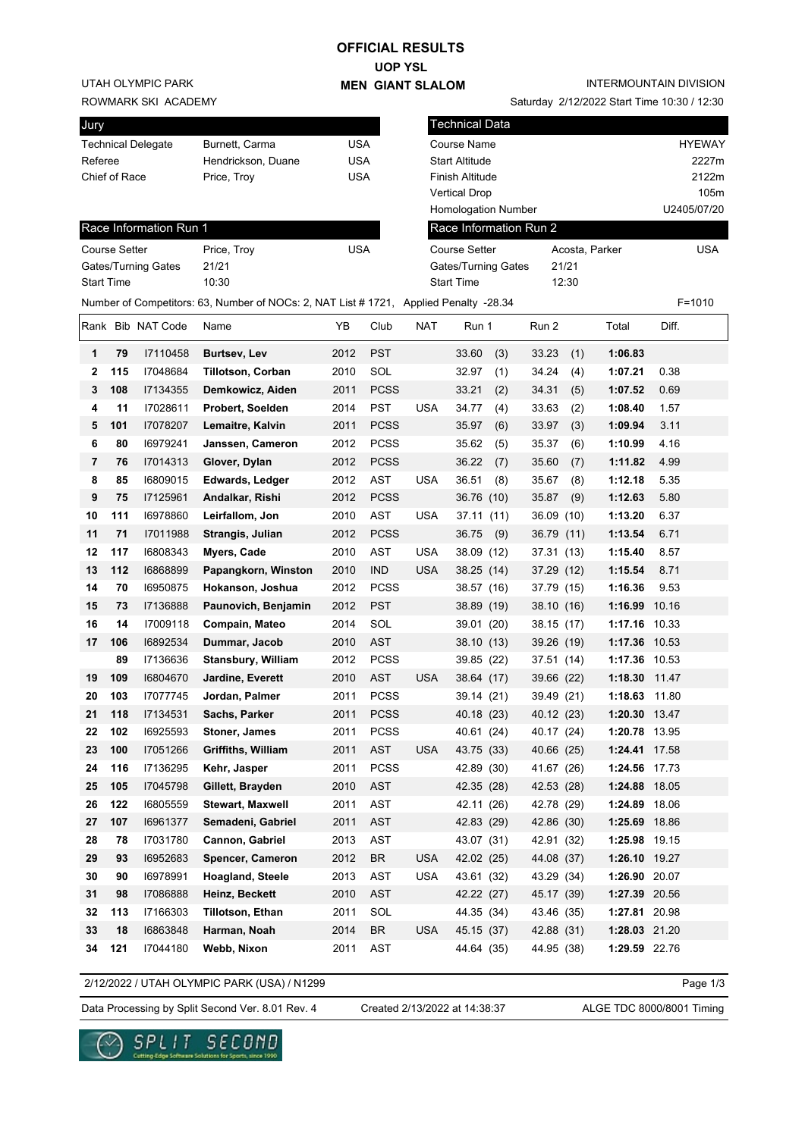## **OFFICIAL RESULTS**

**UOP YSL MEN GIANT SLALOM**

UTAH OLYMPIC PARK

ROWMARK SKI ACADEMY

| Jury                      |                    |            |
|---------------------------|--------------------|------------|
| <b>Technical Delegate</b> | Burnett, Carma     | USA        |
| Referee                   | Hendrickson, Duane | <b>USA</b> |
| Chief of Race             | Price, Troy        | <b>USA</b> |
|                           |                    |            |
|                           |                    |            |
| Race Information Run 1    |                    |            |

Saturday 2/12/2022 Start Time 10:30 / 12:30

| Jury                         |                      |                           |                                                                                       |            |             |                 | <b>Technical Data</b>  |            |                |               |               |
|------------------------------|----------------------|---------------------------|---------------------------------------------------------------------------------------|------------|-------------|-----------------|------------------------|------------|----------------|---------------|---------------|
|                              |                      | <b>Technical Delegate</b> | Burnett, Carma                                                                        | <b>USA</b> |             |                 | Course Name            |            |                |               | <b>HYEWAY</b> |
| Referee                      |                      |                           | Hendrickson, Duane                                                                    | <b>USA</b> |             |                 | <b>Start Altitude</b>  |            |                |               | 2227m         |
| Chief of Race<br>Price, Troy |                      |                           | <b>USA</b>                                                                            |            |             | Finish Altitude |                        |            |                | 2122m         |               |
|                              |                      |                           |                                                                                       |            |             |                 | <b>Vertical Drop</b>   |            |                |               | 105m          |
|                              |                      |                           |                                                                                       |            |             |                 | Homologation Number    |            |                |               | U2405/07/20   |
|                              |                      | Race Information Run 1    |                                                                                       |            |             |                 | Race Information Run 2 |            |                |               |               |
|                              | <b>Course Setter</b> |                           | Price, Troy                                                                           | <b>USA</b> |             |                 | <b>Course Setter</b>   |            | Acosta, Parker |               | <b>USA</b>    |
|                              |                      | Gates/Turning Gates       | 21/21                                                                                 |            |             |                 | Gates/Turning Gates    |            | 21/21          |               |               |
|                              | <b>Start Time</b>    |                           | 10:30                                                                                 |            |             |                 | <b>Start Time</b>      |            | 12:30          |               |               |
|                              |                      |                           | Number of Competitors: 63, Number of NOCs: 2, NAT List # 1721, Applied Penalty -28.34 |            |             |                 |                        |            |                |               | $F = 1010$    |
|                              |                      | Rank Bib NAT Code         | Name                                                                                  | YΒ         | Club        | <b>NAT</b>      | Run 1                  | Run 2      |                | Total         | Diff.         |
| 1                            | 79                   | I7110458                  | <b>Burtsev, Lev</b>                                                                   | 2012       | <b>PST</b>  |                 | 33.60<br>(3)           | 33.23      | (1)            | 1:06.83       |               |
| 2                            | 115                  | 17048684                  | <b>Tillotson, Corban</b>                                                              | 2010       | SOL         |                 | 32.97<br>(1)           | 34.24      | (4)            | 1:07.21       | 0.38          |
| 3                            | 108                  | 17134355                  | Demkowicz, Aiden                                                                      | 2011       | <b>PCSS</b> |                 | 33.21<br>(2)           | 34.31      | (5)            | 1:07.52       | 0.69          |
| 4                            | 11                   | 17028611                  | Probert, Soelden                                                                      | 2014       | <b>PST</b>  | <b>USA</b>      | 34.77<br>(4)           | 33.63      | (2)            | 1:08.40       | 1.57          |
| 5                            | 101                  | 17078207                  | Lemaitre, Kalvin                                                                      | 2011       | <b>PCSS</b> |                 | 35.97<br>(6)           | 33.97      | (3)            | 1:09.94       | 3.11          |
| 6                            | 80                   | 16979241                  | Janssen, Cameron                                                                      | 2012       | <b>PCSS</b> |                 | 35.62<br>(5)           | 35.37      | (6)            | 1:10.99       | 4.16          |
| 7                            | 76                   | 17014313                  | Glover, Dylan                                                                         | 2012       | <b>PCSS</b> |                 | 36.22<br>(7)           | 35.60      | (7)            | 1:11.82       | 4.99          |
| 8                            | 85                   | 16809015                  | <b>Edwards, Ledger</b>                                                                | 2012       | <b>AST</b>  | <b>USA</b>      | 36.51<br>(8)           | 35.67      | (8)            | 1:12.18       | 5.35          |
| 9                            | 75                   | 17125961                  | Andalkar, Rishi                                                                       | 2012       | <b>PCSS</b> |                 | 36.76 (10)             | 35.87      | (9)            | 1:12.63       | 5.80          |
| 10                           | 111                  | 16978860                  | Leirfallom, Jon                                                                       | 2010       | <b>AST</b>  | <b>USA</b>      | 37.11 (11)             | 36.09      | (10)           | 1:13.20       | 6.37          |
| 11                           | 71                   | 17011988                  | Strangis, Julian                                                                      | 2012       | <b>PCSS</b> |                 | 36.75<br>(9)           | 36.79 (11) |                | 1:13.54       | 6.71          |
| 12                           | 117                  | 16808343                  | Myers, Cade                                                                           | 2010       | AST         | <b>USA</b>      | 38.09 (12)             | 37.31 (13) |                | 1:15.40       | 8.57          |
| 13                           | 112                  | 16868899                  | Papangkorn, Winston                                                                   | 2010       | <b>IND</b>  | USA             | 38.25 (14)             | 37.29 (12) |                | 1:15.54       | 8.71          |
| 14                           | 70                   | 16950875                  | Hokanson, Joshua                                                                      | 2012       | <b>PCSS</b> |                 | 38.57 (16)             | 37.79 (15) |                | 1:16.36       | 9.53          |
| 15                           | 73                   | 17136888                  | Paunovich, Benjamin                                                                   | 2012       | <b>PST</b>  |                 | 38.89 (19)             | 38.10 (16) |                | 1:16.99 10.16 |               |
| 16                           | 14                   | 17009118                  | Compain, Mateo                                                                        | 2014       | SOL         |                 | 39.01 (20)             | 38.15 (17) |                | 1:17.16 10.33 |               |
| 17                           | 106                  | 16892534                  | Dummar, Jacob                                                                         | 2010       | <b>AST</b>  |                 | 38.10 (13)             | 39.26 (19) |                | 1:17.36 10.53 |               |
|                              | 89                   | 17136636                  | <b>Stansbury, William</b>                                                             | 2012       | <b>PCSS</b> |                 | 39.85 (22)             | 37.51 (14) |                | 1:17.36 10.53 |               |
| 19                           | 109                  | 16804670                  | Jardine, Everett                                                                      | 2010       | <b>AST</b>  | <b>USA</b>      | 38.64 (17)             | 39.66 (22) |                | 1:18.30 11.47 |               |
| 20                           | 103                  | 17077745                  | Jordan, Palmer                                                                        | 2011       | <b>PCSS</b> |                 | 39.14 (21)             | 39.49 (21) |                | 1:18.63 11.80 |               |
| 21                           | 118                  | 17134531                  | Sachs, Parker                                                                         |            | 2011 PCSS   |                 | 40.18 (23)             | 40.12 (23) |                | 1:20.30 13.47 |               |
| 22                           | 102                  | 16925593                  | Stoner, James                                                                         | 2011       | <b>PCSS</b> |                 | 40.61 (24)             | 40.17 (24) |                | 1:20.78 13.95 |               |
| 23                           | 100                  | 17051266                  | Griffiths, William                                                                    | 2011       | AST         | <b>USA</b>      | 43.75 (33)             | 40.66 (25) |                | 1:24.41 17.58 |               |
| 24                           | 116                  | 17136295                  | Kehr, Jasper                                                                          | 2011       | <b>PCSS</b> |                 | 42.89 (30)             | 41.67 (26) |                | 1:24.56 17.73 |               |
| 25                           | 105                  | 17045798                  | Gillett, Brayden                                                                      | 2010       | <b>AST</b>  |                 | 42.35 (28)             | 42.53 (28) |                | 1:24.88 18.05 |               |
| 26                           | 122                  | 16805559                  | Stewart, Maxwell                                                                      | 2011       | AST         |                 | 42.11 (26)             | 42.78 (29) |                | 1:24.89 18.06 |               |
| 27                           | 107                  | 16961377                  | Semadeni, Gabriel                                                                     | 2011       | AST         |                 | 42.83 (29)             | 42.86 (30) |                | 1:25.69 18.86 |               |
| 28                           | 78                   | 17031780                  | Cannon, Gabriel                                                                       | 2013       | AST         |                 | 43.07 (31)             | 42.91 (32) |                | 1:25.98 19.15 |               |
| 29                           | 93                   | 16952683                  | Spencer, Cameron                                                                      | 2012       | <b>BR</b>   | <b>USA</b>      | 42.02 (25)             | 44.08 (37) |                | 1:26.10 19.27 |               |
| 30                           | 90                   | 16978991                  | <b>Hoagland, Steele</b>                                                               | 2013       | AST         | <b>USA</b>      | 43.61 (32)             | 43.29 (34) |                | 1:26.90 20.07 |               |
| 31                           | 98                   | 17086888                  | Heinz, Beckett                                                                        | 2010       | <b>AST</b>  |                 | 42.22 (27)             | 45.17 (39) |                | 1:27.39 20.56 |               |
| 32                           | 113                  | 17166303                  | Tillotson, Ethan                                                                      | 2011       | SOL         |                 | 44.35 (34)             | 43.46 (35) |                | 1:27.81 20.98 |               |
| 33                           | 18                   | 16863848                  | Harman, Noah                                                                          | 2014       | <b>BR</b>   | USA             | 45.15 (37)             | 42.88 (31) |                | 1:28.03 21.20 |               |
| 34                           | 121                  | 17044180                  | Webb, Nixon                                                                           | 2011       | AST         |                 | 44.64 (35)             | 44.95 (38) |                | 1:29.59 22.76 |               |
|                              |                      |                           |                                                                                       |            |             |                 |                        |            |                |               |               |

2/12/2022 / UTAH OLYMPIC PARK (USA) / N1299

Page 1/3

Data Processing by Split Second Ver. 8.01 Rev. 4 Created 2/13/2022 at 14:38:37 ALGE TDC 8000/8001 Timing

Created 2/13/2022 at 14:38:37

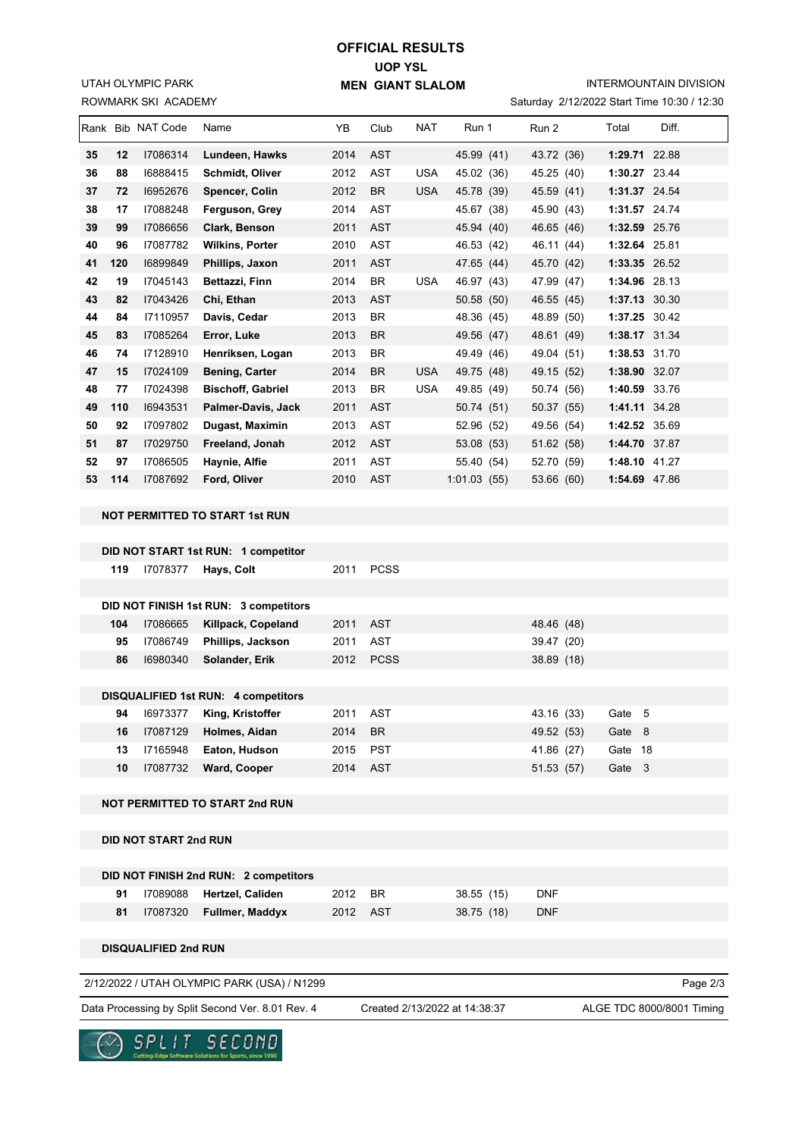UTAH OLYMPIC PARK

## **UOP YSL MEN GIANT SLALOM OFFICIAL RESULTS**

INTERMOUNTAIN DIVISION

| ROWMARK SKI ACADEMY |     |                              |                                                                              |      |             |            |             | Saturday 2/12/2022 Start Time 10:30 / 12:30 |            |  |               |       |
|---------------------|-----|------------------------------|------------------------------------------------------------------------------|------|-------------|------------|-------------|---------------------------------------------|------------|--|---------------|-------|
|                     |     | Rank Bib NAT Code            | Name                                                                         | YB   | Club        | <b>NAT</b> | Run 1       |                                             | Run 2      |  | Total         | Diff. |
| 35                  | 12  | 17086314                     | Lundeen, Hawks                                                               | 2014 | <b>AST</b>  |            | 45.99 (41)  |                                             | 43.72 (36) |  | 1:29.71 22.88 |       |
| 36                  | 88  | 16888415                     | Schmidt, Oliver                                                              | 2012 | AST         | <b>USA</b> | 45.02 (36)  |                                             | 45.25 (40) |  | 1:30.27 23.44 |       |
| 37                  | 72  | 16952676                     | Spencer, Colin                                                               | 2012 | <b>BR</b>   | <b>USA</b> | 45.78 (39)  |                                             | 45.59 (41) |  | 1:31.37 24.54 |       |
| 38                  | 17  | 17088248                     | Ferguson, Grey                                                               | 2014 | <b>AST</b>  |            | 45.67 (38)  |                                             | 45.90 (43) |  | 1:31.57 24.74 |       |
| 39                  | 99  | 17086656                     | Clark, Benson                                                                | 2011 | <b>AST</b>  |            | 45.94 (40)  |                                             | 46.65 (46) |  | 1:32.59 25.76 |       |
| 40                  | 96  | 17087782                     | <b>Wilkins, Porter</b>                                                       | 2010 | <b>AST</b>  |            | 46.53 (42)  |                                             | 46.11 (44) |  | 1:32.64 25.81 |       |
| 41                  | 120 | 16899849                     | Phillips, Jaxon                                                              | 2011 | <b>AST</b>  |            | 47.65 (44)  |                                             | 45.70 (42) |  | 1:33.35 26.52 |       |
| 42                  | 19  | 17045143                     | Bettazzi, Finn                                                               | 2014 | BR          | <b>USA</b> | 46.97 (43)  |                                             | 47.99 (47) |  | 1:34.96 28.13 |       |
| 43                  | 82  | 17043426                     | Chi, Ethan                                                                   | 2013 | <b>AST</b>  |            | 50.58 (50)  |                                             | 46.55 (45) |  | 1:37.13 30.30 |       |
| 44                  | 84  | 17110957                     | Davis, Cedar                                                                 | 2013 | BR          |            | 48.36 (45)  |                                             | 48.89 (50) |  | 1:37.25 30.42 |       |
| 45                  | 83  | 17085264                     | Error, Luke                                                                  | 2013 | BR          |            | 49.56 (47)  |                                             | 48.61 (49) |  | 1:38.17 31.34 |       |
| 46                  | 74  | 17128910                     | Henriksen, Logan                                                             | 2013 | BR          |            | 49.49 (46)  |                                             | 49.04 (51) |  | 1:38.53 31.70 |       |
| 47                  | 15  | 17024109                     | <b>Bening, Carter</b>                                                        | 2014 | BR          | <b>USA</b> | 49.75 (48)  |                                             | 49.15 (52) |  | 1:38.90 32.07 |       |
| 48                  | 77  | 17024398                     | <b>Bischoff, Gabriel</b>                                                     | 2013 | BR          | <b>USA</b> | 49.85 (49)  |                                             | 50.74 (56) |  | 1:40.59 33.76 |       |
| 49                  | 110 | 16943531                     | Palmer-Davis, Jack                                                           | 2011 | <b>AST</b>  |            | 50.74 (51)  |                                             | 50.37 (55) |  | 1:41.11 34.28 |       |
| 50                  | 92  | 17097802                     | Dugast, Maximin                                                              | 2013 | <b>AST</b>  |            | 52.96 (52)  |                                             | 49.56 (54) |  | 1:42.52 35.69 |       |
| 51                  | 87  | 17029750                     | Freeland, Jonah                                                              | 2012 | <b>AST</b>  |            | 53.08 (53)  |                                             | 51.62 (58) |  | 1:44.70 37.87 |       |
| 52                  | 97  | I7086505                     | Haynie, Alfie                                                                | 2011 | AST         |            | 55.40 (54)  |                                             | 52.70 (59) |  | 1:48.10 41.27 |       |
| 53                  | 114 | 17087692                     | Ford, Oliver                                                                 | 2010 | <b>AST</b>  |            | 1:01.03(55) |                                             | 53.66 (60) |  | 1:54.69 47.86 |       |
|                     |     |                              | <b>NOT PERMITTED TO START 1st RUN</b><br>DID NOT START 1st RUN: 1 competitor |      |             |            |             |                                             |            |  |               |       |
|                     | 119 | 17078377                     | Hays, Colt                                                                   | 2011 | <b>PCSS</b> |            |             |                                             |            |  |               |       |
|                     |     |                              |                                                                              |      |             |            |             |                                             |            |  |               |       |
|                     |     |                              | DID NOT FINISH 1st RUN: 3 competitors                                        |      |             |            |             |                                             |            |  |               |       |
|                     | 104 | I7086665                     | Killpack, Copeland                                                           | 2011 | <b>AST</b>  |            |             |                                             | 48.46 (48) |  |               |       |
|                     | 95  | 17086749                     | Phillips, Jackson                                                            | 2011 | <b>AST</b>  |            |             |                                             | 39.47 (20) |  |               |       |
|                     | 86  | 16980340                     | Solander, Erik                                                               | 2012 | <b>PCSS</b> |            |             |                                             | 38.89 (18) |  |               |       |
|                     |     |                              | DISQUALIFIED 1st RUN: 4 competitors                                          |      |             |            |             |                                             |            |  |               |       |
|                     | 94  | 16973377                     | King, Kristoffer                                                             | 2011 | <b>AST</b>  |            |             |                                             | 43.16 (33) |  | Gate 5        |       |
|                     | 16  | 17087129                     | Holmes, Aidan                                                                | 2014 | <b>BR</b>   |            |             |                                             | 49.52 (53) |  | Gate 8        |       |
|                     | 13  | 17165948                     | Eaton, Hudson                                                                | 2015 | <b>PST</b>  |            |             |                                             | 41.86 (27) |  | Gate 18       |       |
|                     | 10  | 17087732                     | Ward, Cooper                                                                 | 2014 | <b>AST</b>  |            |             |                                             | 51.53 (57) |  | Gate 3        |       |
|                     |     |                              | <b>NOT PERMITTED TO START 2nd RUN</b>                                        |      |             |            |             |                                             |            |  |               |       |
|                     |     | <b>DID NOT START 2nd RUN</b> |                                                                              |      |             |            |             |                                             |            |  |               |       |
|                     |     |                              | DID NOT FINISH 2nd RUN: 2 competitors                                        |      |             |            |             |                                             |            |  |               |       |
|                     | 91  | 17089088                     | Hertzel, Caliden                                                             | 2012 | BR          |            | 38.55 (15)  |                                             | DNF        |  |               |       |
|                     | 81  | 17087320                     | Fullmer, Maddyx                                                              | 2012 | <b>AST</b>  |            | 38.75 (18)  |                                             | <b>DNF</b> |  |               |       |
|                     |     |                              |                                                                              |      |             |            |             |                                             |            |  |               |       |

**DISQUALIFIED 2nd RUN**

2/12/2022 / UTAH OLYMPIC PARK (USA) / N1299

Page 2/3

Data Processing by Split Second Ver. 8.01 Rev. 4 Created 2/13/2022 at 14:38:37 ALGE TDC 8000/8001 Timing

Created 2/13/2022 at 14:38:37